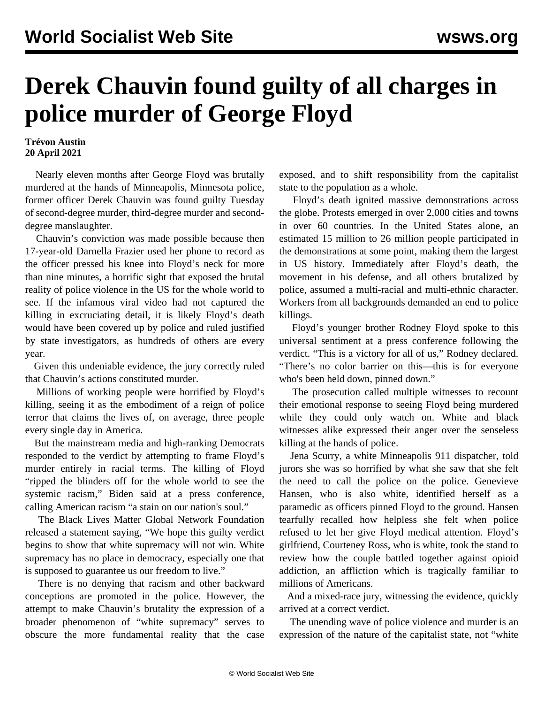## **Derek Chauvin found guilty of all charges in police murder of George Floyd**

## **Trévon Austin 20 April 2021**

 Nearly eleven months after George Floyd was brutally murdered at the hands of Minneapolis, Minnesota police, former officer Derek Chauvin was found guilty Tuesday of second-degree murder, third-degree murder and seconddegree manslaughter.

 Chauvin's conviction was made possible because then 17-year-old Darnella Frazier used her phone to record as the officer pressed his knee into Floyd's neck for more than nine minutes, a horrific sight that exposed the brutal reality of police violence in the US for the whole world to see. If the infamous viral video had not captured the killing in excruciating detail, it is likely Floyd's death would have been covered up by police and ruled justified by state investigators, as hundreds of others are every year.

 Given this undeniable evidence, the jury correctly ruled that Chauvin's actions constituted murder.

 Millions of working people were horrified by Floyd's killing, seeing it as the embodiment of a reign of police terror that claims the lives of, on average, three people every single day in America.

 But the mainstream media and high-ranking Democrats responded to the verdict by attempting to frame Floyd's murder entirely in racial terms. The killing of Floyd "ripped the blinders off for the whole world to see the systemic racism," Biden said at a press conference, calling American racism "a stain on our nation's soul."

 The Black Lives Matter Global Network Foundation released a statement saying, "We hope this guilty verdict begins to show that white supremacy will not win. White supremacy has no place in democracy, especially one that is supposed to guarantee us our freedom to live."

 There is no denying that racism and other backward conceptions are promoted in the police. However, the attempt to make Chauvin's brutality the expression of a broader phenomenon of "white supremacy" serves to obscure the more fundamental reality that the case

exposed, and to shift responsibility from the capitalist state to the population as a whole.

 Floyd's death ignited massive demonstrations across the globe. Protests emerged in over 2,000 cities and towns in over 60 countries. In the United States alone, an estimated 15 million to 26 million people participated in the demonstrations at some point, making them the largest in US history. Immediately after Floyd's death, the movement in his defense, and all others brutalized by police, assumed a multi-racial and multi-ethnic character. Workers from all backgrounds demanded an end to police killings.

 Floyd's younger brother Rodney Floyd spoke to this universal sentiment at a press conference following the verdict. "This is a victory for all of us," Rodney declared. "There's no color barrier on this—this is for everyone who's been held down, pinned down."

 The prosecution called multiple witnesses to recount their emotional response to seeing Floyd being murdered while they could only watch on. White and black witnesses alike expressed their anger over the senseless killing at the hands of police.

 Jena Scurry, a white Minneapolis 911 dispatcher, told jurors she was so horrified by what she saw that she felt the need to call the police on the police. Genevieve Hansen, who is also white, identified herself as a paramedic as officers pinned Floyd to the ground. Hansen tearfully recalled how helpless she felt when police refused to let her give Floyd medical attention. Floyd's girlfriend, Courteney Ross, who is white, took the stand to review how the couple battled together against opioid addiction, an affliction which is tragically familiar to millions of Americans.

 And a mixed-race jury, witnessing the evidence, quickly arrived at a correct verdict.

 The unending wave of police violence and murder is an expression of the nature of the capitalist state, not "white